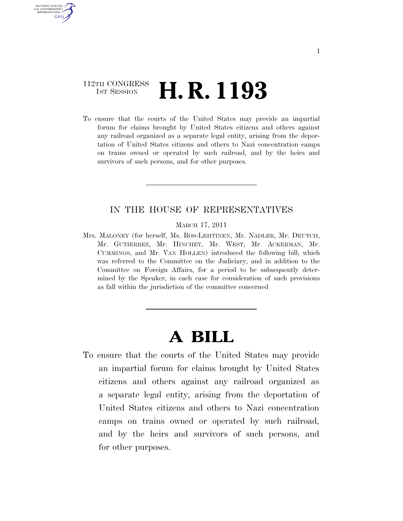## 112TH CONGRESS <sup>TH CONGRESS</sup> **H. R. 1193**

AUTHENTICATED U.S. GOVERNMENT GPO

> To ensure that the courts of the United States may provide an impartial forum for claims brought by United States citizens and others against any railroad organized as a separate legal entity, arising from the deportation of United States citizens and others to Nazi concentration camps on trains owned or operated by such railroad, and by the heirs and survivors of such persons, and for other purposes.

### IN THE HOUSE OF REPRESENTATIVES

MARCH 17, 2011

Mrs. MALONEY (for herself, Ms. ROS-LEHTINEN, Mr. NADLER, Mr. DEUTCH, Mr. GUTIERREZ, Mr. HINCHEY, Mr. WEST, Mr. ACKERMAN, Mr. CUMMINGS, and Mr. VAN HOLLEN) introduced the following bill; which was referred to the Committee on the Judiciary, and in addition to the Committee on Foreign Affairs, for a period to be subsequently determined by the Speaker, in each case for consideration of such provisions as fall within the jurisdiction of the committee concerned

# **A BILL**

To ensure that the courts of the United States may provide an impartial forum for claims brought by United States citizens and others against any railroad organized as a separate legal entity, arising from the deportation of United States citizens and others to Nazi concentration camps on trains owned or operated by such railroad, and by the heirs and survivors of such persons, and for other purposes.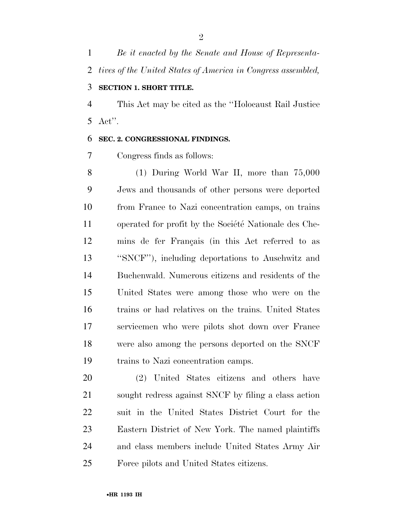*Be it enacted by the Senate and House of Representa- tives of the United States of America in Congress assembled,*  **SECTION 1. SHORT TITLE.** 

 This Act may be cited as the ''Holocaust Rail Justice Act''.

### **SEC. 2. CONGRESSIONAL FINDINGS.**

Congress finds as follows:

 (1) During World War II, more than 75,000 Jews and thousands of other persons were deported from France to Nazi concentration camps, on trains 11 operated for profit by the Société Nationale des Che-12 mins de fer Français (in this Act referred to as ''SNCF''), including deportations to Auschwitz and Buchenwald. Numerous citizens and residents of the United States were among those who were on the trains or had relatives on the trains. United States servicemen who were pilots shot down over France were also among the persons deported on the SNCF trains to Nazi concentration camps.

 (2) United States citizens and others have sought redress against SNCF by filing a class action suit in the United States District Court for the Eastern District of New York. The named plaintiffs and class members include United States Army Air Force pilots and United States citizens.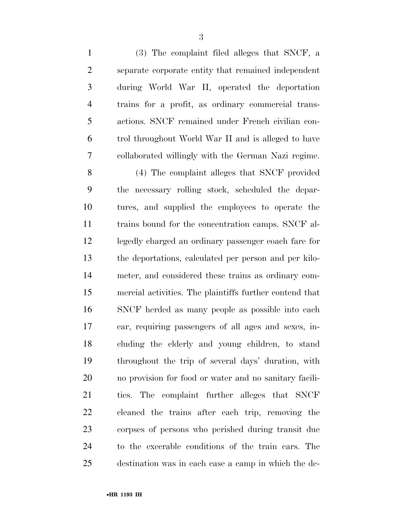(3) The complaint filed alleges that SNCF, a separate corporate entity that remained independent during World War II, operated the deportation trains for a profit, as ordinary commercial trans- actions. SNCF remained under French civilian con- trol throughout World War II and is alleged to have collaborated willingly with the German Nazi regime. (4) The complaint alleges that SNCF provided the necessary rolling stock, scheduled the depar- tures, and supplied the employees to operate the trains bound for the concentration camps. SNCF al- legedly charged an ordinary passenger coach fare for the deportations, calculated per person and per kilo- meter, and considered these trains as ordinary com- mercial activities. The plaintiffs further contend that SNCF herded as many people as possible into each car, requiring passengers of all ages and sexes, in- cluding the elderly and young children, to stand throughout the trip of several days' duration, with no provision for food or water and no sanitary facili- ties. The complaint further alleges that SNCF cleaned the trains after each trip, removing the corpses of persons who perished during transit due to the execrable conditions of the train cars. The destination was in each case a camp in which the de-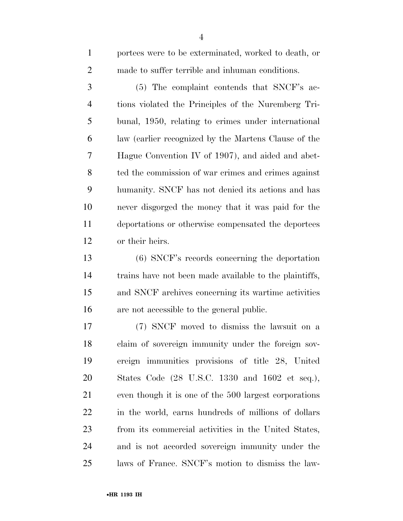portees were to be exterminated, worked to death, or made to suffer terrible and inhuman conditions. (5) The complaint contends that SNCF's ac- tions violated the Principles of the Nuremberg Tri- bunal, 1950, relating to crimes under international law (earlier recognized by the Martens Clause of the Hague Convention IV of 1907), and aided and abet- ted the commission of war crimes and crimes against humanity. SNCF has not denied its actions and has never disgorged the money that it was paid for the deportations or otherwise compensated the deportees

or their heirs.

 (6) SNCF's records concerning the deportation trains have not been made available to the plaintiffs, and SNCF archives concerning its wartime activities are not accessible to the general public.

 (7) SNCF moved to dismiss the lawsuit on a claim of sovereign immunity under the foreign sov- ereign immunities provisions of title 28, United States Code (28 U.S.C. 1330 and 1602 et seq.), even though it is one of the 500 largest corporations in the world, earns hundreds of millions of dollars from its commercial activities in the United States, and is not accorded sovereign immunity under the laws of France. SNCF's motion to dismiss the law-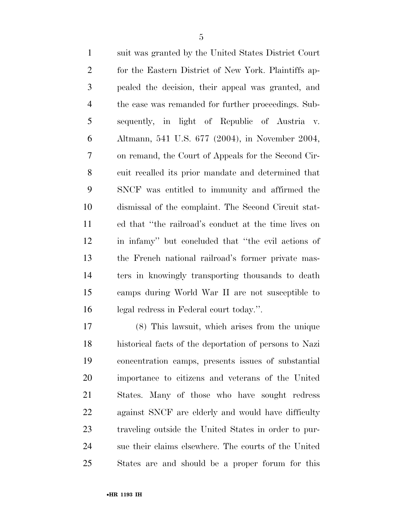suit was granted by the United States District Court for the Eastern District of New York. Plaintiffs ap- pealed the decision, their appeal was granted, and the case was remanded for further proceedings. Sub- sequently, in light of Republic of Austria v. Altmann, 541 U.S. 677 (2004), in November 2004, on remand, the Court of Appeals for the Second Cir- cuit recalled its prior mandate and determined that SNCF was entitled to immunity and affirmed the dismissal of the complaint. The Second Circuit stat- ed that ''the railroad's conduct at the time lives on in infamy'' but concluded that ''the evil actions of the French national railroad's former private mas- ters in knowingly transporting thousands to death camps during World War II are not susceptible to legal redress in Federal court today.''.

 (8) This lawsuit, which arises from the unique historical facts of the deportation of persons to Nazi concentration camps, presents issues of substantial importance to citizens and veterans of the United States. Many of those who have sought redress against SNCF are elderly and would have difficulty traveling outside the United States in order to pur- sue their claims elsewhere. The courts of the United States are and should be a proper forum for this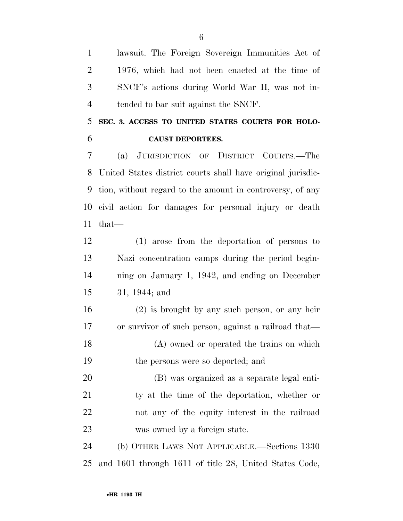lawsuit. The Foreign Sovereign Immunities Act of 1976, which had not been enacted at the time of SNCF's actions during World War II, was not in-tended to bar suit against the SNCF.

 **SEC. 3. ACCESS TO UNITED STATES COURTS FOR HOLO-CAUST DEPORTEES.** 

 (a) JURISDICTION OF DISTRICT COURTS.—The United States district courts shall have original jurisdic- tion, without regard to the amount in controversy, of any civil action for damages for personal injury or death that—

 (1) arose from the deportation of persons to Nazi concentration camps during the period begin- ning on January 1, 1942, and ending on December 31, 1944; and

 (2) is brought by any such person, or any heir or survivor of such person, against a railroad that— (A) owned or operated the trains on which

the persons were so deported; and

 (B) was organized as a separate legal enti- ty at the time of the deportation, whether or not any of the equity interest in the railroad was owned by a foreign state.

 (b) OTHER LAWS NOT APPLICABLE.—Sections 1330 and 1601 through 1611 of title 28, United States Code,